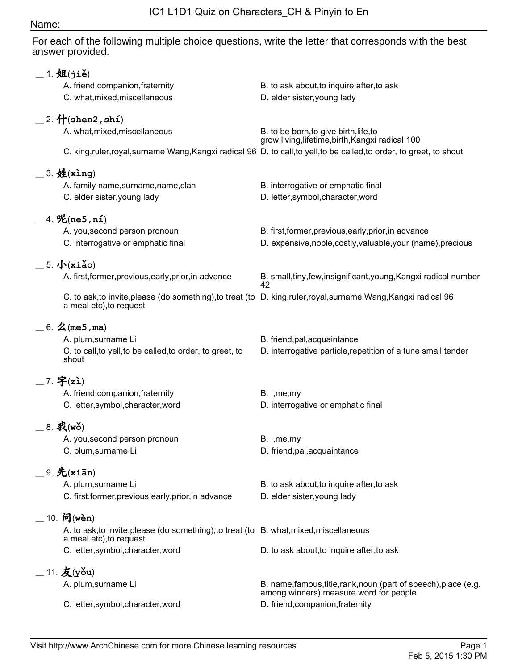## Name:

For each of the following multiple choice questions, write the letter that corresponds with the best answer provided.

| $\_$ 1. 姐(jiě)                                                                          |                                                                                                                  |
|-----------------------------------------------------------------------------------------|------------------------------------------------------------------------------------------------------------------|
| A. friend, companion, fraternity                                                        | B. to ask about, to inquire after, to ask                                                                        |
| C. what, mixed, miscellaneous                                                           | D. elder sister, young lady                                                                                      |
|                                                                                         |                                                                                                                  |
| $=$ 2. $\hat{H}$ (shen2, shi)                                                           |                                                                                                                  |
| A. what, mixed, miscellaneous                                                           | B. to be born, to give birth, life, to<br>grow, living, lifetime, birth, Kangxi radical 100                      |
|                                                                                         | C. king,ruler,royal,surname Wang,Kangxi radical 96 D. to call,to yell,to be called,to order, to greet, to shout  |
|                                                                                         |                                                                                                                  |
| $=$ 3. $\frac{M}{2}$ (xing)                                                             |                                                                                                                  |
| A. family name, surname, name, clan                                                     | B. interrogative or emphatic final                                                                               |
| C. elder sister, young lady                                                             | D. letter, symbol, character, word                                                                               |
|                                                                                         |                                                                                                                  |
| $\_$ 4. $\mathcal{K}$ (ne5, ní)                                                         |                                                                                                                  |
| A. you, second person pronoun                                                           | B. first, former, previous, early, prior, in advance                                                             |
| C. interrogative or emphatic final                                                      | D. expensive, noble, costly, valuable, your (name), precious                                                     |
| $\frac{5}{10}$ . $\sqrt{(xi\delta_0)}$                                                  |                                                                                                                  |
| A. first, former, previous, early, prior, in advance                                    | B. small, tiny, few, insignificant, young, Kangxi radical number                                                 |
|                                                                                         | 42                                                                                                               |
| a meal etc), to request                                                                 | C. to ask, to invite, please (do something), to treat (to D. king, ruler, royal, surname Wang, Kangxi radical 96 |
|                                                                                         |                                                                                                                  |
| $= 6.$ $\angle$ (me5, ma)                                                               |                                                                                                                  |
| A. plum, surname Li                                                                     | B. friend, pal, acquaintance                                                                                     |
| C. to call, to yell, to be called, to order, to greet, to                               | D. interrogative particle, repetition of a tune small, tender                                                    |
| shout                                                                                   |                                                                                                                  |
| $-7.$ 字(zì)                                                                             |                                                                                                                  |
| A. friend, companion, fraternity                                                        | B. I, me, my                                                                                                     |
| C. letter, symbol, character, word                                                      | D. interrogative or emphatic final                                                                               |
|                                                                                         |                                                                                                                  |
| 8. 我(wǒ)                                                                                |                                                                                                                  |
| A. you, second person pronoun                                                           | B. I, me, my                                                                                                     |
| C. plum, surname Li                                                                     | D. friend, pal, acquaintance                                                                                     |
| $=$ 9. 先(xiān)                                                                          |                                                                                                                  |
| A. plum, surname Li                                                                     | B. to ask about, to inquire after, to ask                                                                        |
| C. first, former, previous, early, prior, in advance                                    | D. elder sister, young lady                                                                                      |
|                                                                                         |                                                                                                                  |
| $10.$ 问(wèn)                                                                            |                                                                                                                  |
| A. to ask, to invite, please (do something), to treat (to B. what, mixed, miscellaneous |                                                                                                                  |
| a meal etc), to request                                                                 |                                                                                                                  |
| C. letter, symbol, character, word                                                      | D. to ask about, to inquire after, to ask                                                                        |
| $=$ 11. $\mathbf{\mathcal{\dot{K}}}$ (yǒu)                                              |                                                                                                                  |
| A. plum, surname Li                                                                     | B. name, famous, title, rank, noun (part of speech), place (e.g.                                                 |
|                                                                                         | among winners), measure word for people                                                                          |
| C. letter, symbol, character, word                                                      | D. friend, companion, fraternity                                                                                 |
|                                                                                         |                                                                                                                  |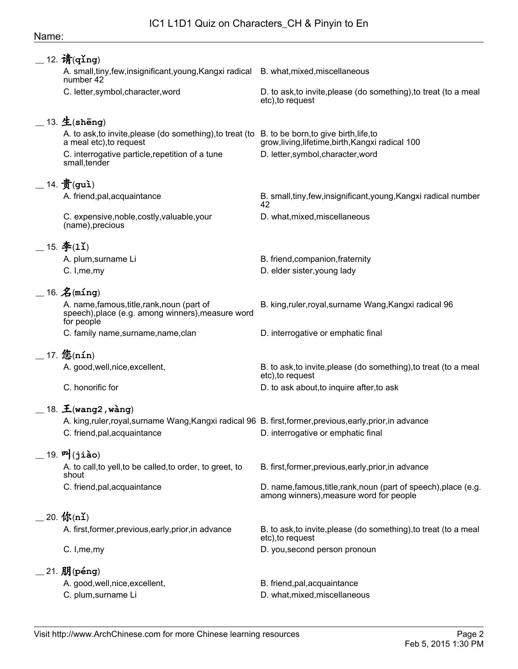## Name:

| $-$ 12. 请(qǐng)                                                                                                |                                                                                                             |
|----------------------------------------------------------------------------------------------------------------|-------------------------------------------------------------------------------------------------------------|
| A. small, tiny, few, insignificant, young, Kangxi radical<br>number 42                                         | B. what, mixed, miscellaneous                                                                               |
| C. letter, symbol, character, word                                                                             | D. to ask, to invite, please (do something), to treat (to a meal<br>etc), to request                        |
| 13. 生(shēng)                                                                                                   |                                                                                                             |
| A. to ask, to invite, please (do something), to treat (to<br>a meal etc), to request                           | B. to be born, to give birth, life, to<br>grow, living, lifetime, birth, Kangxi radical 100                 |
| C. interrogative particle, repetition of a tune<br>small, tender                                               | D. letter, symbol, character, word                                                                          |
| $\_$ 14. $\frac{2}{\pi}$ (guì)                                                                                 |                                                                                                             |
| A. friend, pal, acquaintance                                                                                   | B. small, tiny, few, insignificant, young, Kangxi radical number<br>42                                      |
| C. expensive, noble, costly, valuable, your<br>(name), precious                                                | D. what, mixed, miscellaneous                                                                               |
| $-15.$ $\mathbf{\hat{F}}(1\mathbf{1})$                                                                         |                                                                                                             |
| A. plum, surname Li                                                                                            | B. friend, companion, fraternity                                                                            |
| C. I, me, my                                                                                                   | D. elder sister, young lady                                                                                 |
| $=$ 16. $\mathbf{\hat{Z}}$ (ming)                                                                              |                                                                                                             |
| A. name, famous, title, rank, noun (part of<br>speech), place (e.g. among winners), measure word<br>for people | B. king, ruler, royal, surname Wang, Kangxi radical 96                                                      |
| C. family name, surname, name, clan                                                                            | D. interrogative or emphatic final                                                                          |
| $-$ 17. 悠(nín)                                                                                                 |                                                                                                             |
| A. good, well, nice, excellent,                                                                                | B. to ask, to invite, please (do something), to treat (to a meal<br>etc), to request                        |
| C. honorific for                                                                                               | D. to ask about, to inquire after, to ask                                                                   |
| $\_$ 18. $\mathbf{\tilde{\pm}}$ (wang2 , wàng)                                                                 |                                                                                                             |
| A. king,ruler,royal,surname Wang,Kangxi radical 96 B. first,former,previous,early,prior,in advance             |                                                                                                             |
| C. friend, pal, acquaintance                                                                                   | D. interrogative or emphatic final                                                                          |
| $-$ 19. 머 $($ jiào)                                                                                            |                                                                                                             |
| A. to call, to yell, to be called, to order, to greet, to<br>shout                                             | B. first, former, previous, early, prior, in advance                                                        |
| C. friend, pal, acquaintance                                                                                   | D. name, famous, title, rank, noun (part of speech), place (e.g.<br>among winners), measure word for people |
| $\_$ 20. 你(nǐ)                                                                                                 |                                                                                                             |
| A. first, former, previous, early, prior, in advance                                                           | B. to ask, to invite, please (do something), to treat (to a meal<br>etc), to request                        |
| C. I, me, my                                                                                                   | D. you, second person pronoun                                                                               |
| $\_$ 21. $J\!\!H$ (péng)                                                                                       |                                                                                                             |
| A. good, well, nice, excellent,                                                                                | B. friend, pal, acquaintance                                                                                |
| C. plum, surname Li                                                                                            | D. what, mixed, miscellaneous                                                                               |
|                                                                                                                |                                                                                                             |